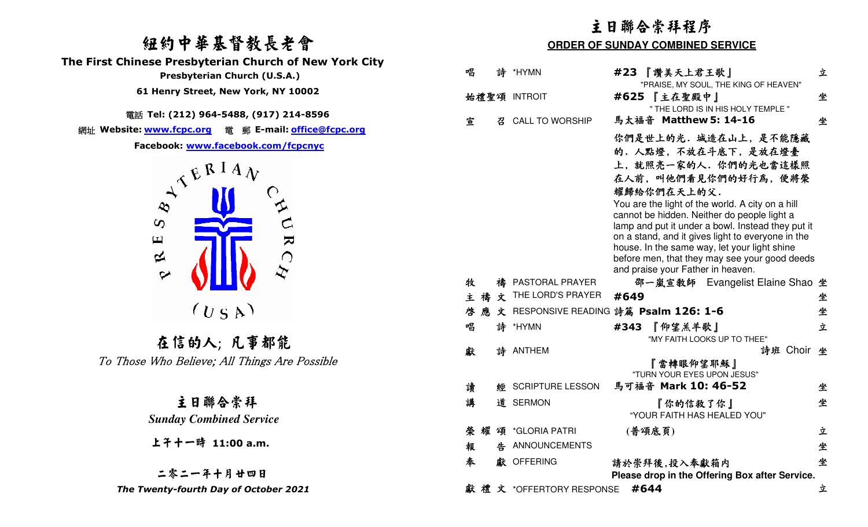# 紐約中華基督教長老會



### 二零二一年十月廿四日The Twenty-fourth Day of October 2021

|                                                                                                                                                                               | 主日聯合崇拜程序                                                                                                                                                                                                                                                                                                                                                                                                                                                       |        |  |
|-------------------------------------------------------------------------------------------------------------------------------------------------------------------------------|----------------------------------------------------------------------------------------------------------------------------------------------------------------------------------------------------------------------------------------------------------------------------------------------------------------------------------------------------------------------------------------------------------------------------------------------------------------|--------|--|
| 纽约中華基督教長老會                                                                                                                                                                    | <b>ORDER OF SUNDAY COMBINED SERVICE</b>                                                                                                                                                                                                                                                                                                                                                                                                                        |        |  |
| The First Chinese Presbyterian Church of New York City<br>Presbyterian Church (U.S.A.)<br>61 Henry Street, New York, NY 10002                                                 | 唱<br>*HYMN<br>#23 『讚美天上君王歌』<br>詩<br>"PRAISE, MY SOUL, THE KING OF HEAVEN"<br>始禮聖頌 INTROIT<br>#625 【主在聖殿中】                                                                                                                                                                                                                                                                                                                                                      | 立<br>坐 |  |
|                                                                                                                                                                               | " THE LORD IS IN HIS HOLY TEMPLE "                                                                                                                                                                                                                                                                                                                                                                                                                             |        |  |
| 電話 Tel: (212) 964-5488, (917) 214-8596<br>網址 Website: www.fcpc.org 電 郵 E-mail: office@fcpc.org                                                                                | 馬太福音 Matthew 5: 14-16<br><b>CALL TO WORSHIP</b><br>宣<br>召                                                                                                                                                                                                                                                                                                                                                                                                      | 坐      |  |
| Facebook: www.facebook.com/fcpcnyc<br>$\Lambda^{E^{RIA}$<br>$\infty$<br>$\boldsymbol{\omega}$<br>$\blacktriangleright$<br>$\mathbf \Xi$<br>$\mathbf 2$<br>$\bigcap$<br>$\sim$ | 你們是世上的光. 城造在山上, 是不能隱藏<br>的. 人點燈, 不放在斗底下, 是放在燈臺<br>上,就照亮一家的人.你們的光也當這樣照<br>在人前,叫他們看見你們的好行為,便將榮<br>耀歸給你們在天上的父.<br>You are the light of the world. A city on a hill<br>cannot be hidden. Neither do people light a<br>lamp and put it under a bowl. Instead they put it<br>on a stand, and it gives light to everyone in the<br>house. In the same way, let your light shine<br>before men, that they may see your good deeds<br>and praise your Father in heaven. |        |  |
|                                                                                                                                                                               | 牧<br>PASTORAL PRAYER<br>邵一嵐宣教師 Evangelist Elaine Shao 坐                                                                                                                                                                                                                                                                                                                                                                                                        |        |  |
| (U S A)                                                                                                                                                                       | THE LORD'S PRAYER<br>文<br>主禱<br>#649<br>文 RESPONSIVE READING 詩篇 Psalm 126: 1-6<br>啓                                                                                                                                                                                                                                                                                                                                                                            | 坐<br>坐 |  |
|                                                                                                                                                                               | 詩<br>#343 『仰望羔羊歌』<br>唱<br>*HYMN                                                                                                                                                                                                                                                                                                                                                                                                                                | 立      |  |
| 在信的人; 凡事都能<br>To Those Who Believe; All Things Are Possible                                                                                                                   | "MY FAITH LOOKS UP TO THEE"<br>詩班 Choir 坐<br>獻<br>詩 ANTHEM<br>『當轉眼仰望耶穌』<br>"TURN YOUR EYES UPON JESUS"<br>馬可福音 Mark 10: 46-52<br>讀<br>經 SCRIPTURE LESSON                                                                                                                                                                                                                                                                                                       | 坐      |  |
| 主日聯合崇拜                                                                                                                                                                        | 講<br>道 SERMON<br>『你的信救了你』                                                                                                                                                                                                                                                                                                                                                                                                                                      | 坐      |  |
| <b>Sunday Combined Service</b>                                                                                                                                                | "YOUR FAITH HAS HEALED YOU"                                                                                                                                                                                                                                                                                                                                                                                                                                    |        |  |
|                                                                                                                                                                               | (普頌底頁)<br>榮耀頌 *GLORIA PATRI                                                                                                                                                                                                                                                                                                                                                                                                                                    | 立      |  |
| 上干十一時 11:00 a.m.                                                                                                                                                              | 告 ANNOUNCEMENTS<br>報                                                                                                                                                                                                                                                                                                                                                                                                                                           | 坐      |  |
| 二零二一年十月廿四日                                                                                                                                                                    | 奉<br>獻 OFFERING<br>請於崇拜後,投入奉獻箱内<br>Please drop in the Offering Box after Service.                                                                                                                                                                                                                                                                                                                                                                              | 坐      |  |
| The Twenty-fourth Day of October 2021                                                                                                                                         | 獻禮文 *OFFERTORY RESPONSE #644                                                                                                                                                                                                                                                                                                                                                                                                                                   | 立      |  |
|                                                                                                                                                                               |                                                                                                                                                                                                                                                                                                                                                                                                                                                                |        |  |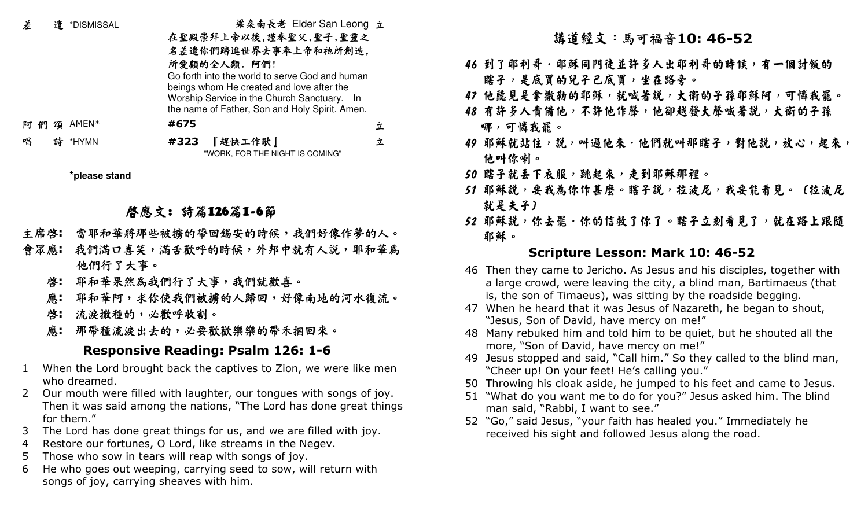| 差 |        | 遣 *DISMISSAL | 梁桑南長老 Elder San Leong 立                        |   |
|---|--------|--------------|------------------------------------------------|---|
|   |        |              | 在聖殿崇拜上帝以後,謹奉聖父,聖子,聖靈之                          |   |
|   |        |              | 名差遣你們踏進世界去事奉上帝和祂所創造,                           |   |
|   |        |              | 所愛顧的全人類. 阿們!                                   |   |
|   |        |              | Go forth into the world to serve God and human |   |
|   |        |              | beings whom He created and love after the      |   |
|   |        |              | Worship Service in the Church Sanctuary. In    |   |
|   |        |              | the name of Father, Son and Holy Spirit. Amen. |   |
| 阿 | 頌<br>ብ | AMEN*        | #675                                           | 立 |
| 唱 | 詩      | *HYMN        | 『趕快工作歌』<br>#323                                | 立 |
|   |        |              | "WORK, FOR THE NIGHT IS COMING"                |   |

**\*please stand**

## 啟應文: 詩篇126篇1-6節

- 主席啟**:** 當耶和華將那些被擄的帶回錫安的時候,我們好像作夢的人。
- 會眾應**:** 我們滿口喜笑,滿舌歡呼的時候,外邦中就有人說,耶和華為 他們行了大事。
	- 啟**:** 耶和華果然為我們行了大事,我們就歡喜。
	- 應**:** 耶和華阿,求你使我們被擄的人歸回,好像南地的河水復流。
	- 啟**:** 流淚撒種的,必歡呼收割。
	- 應**:** 那帶種流淚出去的,必要歡歡樂樂的帶禾捆回來。

## **Responsive Reading: Psalm 126: 1-6**

- 1 When the Lord brought back the captives to Zion, we were like men who dreamed.
- 2 Our mouth were filled with laughter, our tongues with songs of joy. Then it was said among the nations, "The Lord has done great things for them."
- 3 The Lord has done great things for us, and we are filled with joy.
- 4 Restore our fortunes, O Lord, like streams in the Negev.
- 5 Those who sow in tears will reap with songs of joy.
- 6 He who goes out weeping, carrying seed to sow, will return with songs of joy, carrying sheaves with him.

## 講道經文:馬可福音**10: 46-52**

- 46 到了耶利哥·耶酥同門徒並許多人出耶利哥的時候,有一個討飯的 瞎子,是底買的兒子巴底買,坐在路旁。
- 47 他聽見是拿撒勒的耶穌,就喊著説,大衛的子孫耶穌阿,可憐我罷。
- 48 有許多人責備他,不許他作聲,他卻越發大聲喊著說,大衛的子孫 哪,可憐我罷。
- 49 耶穌就站住,說,叫過他來·他們就叫那瞎子,對他說,放心,起來, 他叫你喇。
- 50 瞎子就丢下衣服,跳起來,走到耶稣那裡。
- 51 耶穌説,要我為你作甚麼。瞎子説,拉波尼,我要能看見。〔拉波尼 就是夫子〕
- 52 耶穌説,你去罷·你的信救了你了。瞎子立刻看見了,就在路上跟隨 耶穌。

## **Scripture Lesson: Mark 10: 46-52**

- 46 Then they came to Jericho. As Jesus and his disciples, together with a large crowd, were leaving the city, a blind man, Bartimaeus (that is, the son of Timaeus), was sitting by the roadside begging.
- 47 When he heard that it was Jesus of Nazareth, he began to shout, "Jesus, Son of David, have mercy on me!"
- 48 Many rebuked him and told him to be quiet, but he shouted all the more, "Son of David, have mercy on me!"
- 49 Jesus stopped and said, "Call him." So they called to the blind man, "Cheer up! On your feet! He's calling you."
- 50 Throwing his cloak aside, he jumped to his feet and came to Jesus.
- 51 "What do you want me to do for you?" Jesus asked him. The blind man said, "Rabbi, I want to see."
- 52 "Go," said Jesus, "your faith has healed you." Immediately he received his sight and followed Jesus along the road.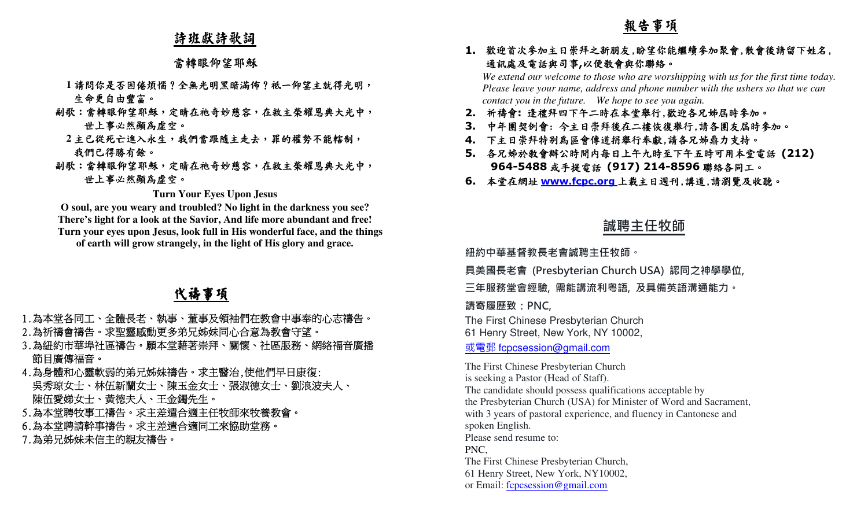### 詩班獻詩歌詞

#### 當轉眼仰望耶穌

- **1**請問你是否困倦煩惱?全無光明黑暗滿佈?祗一仰望主就得光明,生命更自由豐富。
- 副歌:當轉眼仰望耶穌,定睛在祂奇妙慈容,在救主榮耀恩典大光中, 世上事必然顯為虛空。
- **2主已從死亡進入永生,我們當跟隨主走去,罪的權勢不能轄制,** 我們已得勝有餘。
- 副歌:當轉眼仰望耶穌,定睛在祂奇妙慈容,在救主榮耀恩典大光中, 世上事必然顯為虛空。

#### **Turn Your Eyes Upon Jesus**

**O soul, are you weary and troubled? No light in the darkness you see? There's light for a look at the Savior, And life more abundant and free! Turn your eyes upon Jesus, look full in His wonderful face, and the things of earth will grow strangely, in the light of His glory and grace.** 

## 代禱事項

- 1.為本堂各同工、全體長老、執事、董事及領袖們在教會中事奉的心志禱告。 2.為祈禱會禱告。求聖靈感動更多弟兄姊妹同心合意為教會守望。
- 3.為紐約市華埠社區禱告。願本堂藉著崇拜、關懷、社區服務、網絡福音廣播 節目廣傳福音。
- 4.為身體和心靈軟弱的弟兄姊妹禱告。求主醫治,使他們早日康復: 吳秀琼女士、林伍新蘭女士、陳玉金女士、張淑德女士、劉浪波夫人、 陳伍愛娣女士、黃德夫人、王金鐲先生。
- 5.為本堂聘牧事工禱告。求主差遣合適主任牧師來牧養教會。
- 6.為本堂聘請幹事禱告。求主差遣合適同工來協助堂務。
- 7.為弟兄姊妹未信主的親友禱告

#### 歡迎首次參加主日崇拜之新朋友,盼望你能繼續參加聚會,散會後請留下姓名, 通訊處及電話與司事**,**<sup>以</sup>便教會與你聯絡。

  *We extend our welcome to those who are worshipping with us for the first time today. Please leave your name, address and phone number with the ushers so that we can contact you in the future. We hope to see you again.*

- **2.** 祈禱會**:** 逢禮拜四下午二時在本堂舉行,歡迎各兄姊屆時參加。
- **3.** 中年團契例會: 今主日崇拜後在二樓恢復舉行,請各團友屆時參加。
- **4.** 下主日崇拜特別為區會傳道捐舉行奉獻,請各兄姊鼎力支持。
- **5.** 各兄姊於教會辦公時間內每日上午九時至下午五時可用本堂電話 **(212) 964-5488**或手提電話 **(917) 214-8596**聯絡各同工。
- **6.** 本堂在網址 **www.fcpc.org** 上載主日週刊,講道,請瀏覽及收聽。

### **誠聘主任牧師**

**紐約中華基督教⻑老會誠聘主任牧師。** 

**具美國⻑老會 (Presbyterian Church USA) 認同之神學學位,** 

**三年服務堂會經驗, 需能講流利粵語, 及具備英語溝通能力。** 

**請寄履歷致:PNC,**

The First Chinese Presbyterian Church61 Henry Street, New York, NY 10002,

或電郵 fcpcsession@gmail.com

 $\label{eq:4.1} \begin{tabular}{c|c|c} $\displaystyle \frac{\textbf{Re}}{\textbf{H}}\ \textbf{H} & $\textbf{H} \otimes \textbf{H}$ & $\textbf{H} \otimes \textbf{H}$ & $\textbf{H} \otimes \textbf{H}$ & $\textbf{H} \otimes \textbf{H}$ & $\textbf{H} \otimes \textbf{H}$ & $\textbf{H} \otimes \textbf{H}$ & $\textbf{H} \otimes \textbf{H}$ & $\textbf{H} \otimes \textbf{H}$ & $\textbf{H} \otimes \textbf{H}$ & $\textbf{H} \otimes \textbf{H}$ & $\textbf{H} \otimes \textbf$ The First Chinese Presbyterian Churchis seeking a Pastor (Head of Staff). The candidate should possess qualifications acceptable by the Presbyterian Church (USA) for Minister of Word and Sacrament, with 3 years of pastoral experience, and fluency in Cantonese and spoken English. Please send resume to: PNC, The First Chinese Presbyterian Church, 61 Henry Street, New York, NY10002,or Email: fcpcsession@gmail.com